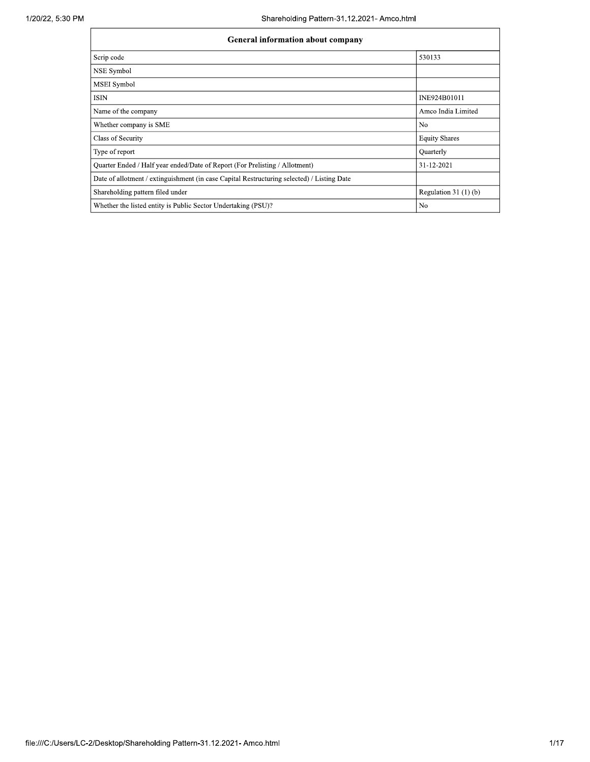| <b>General information about company</b>                                                   |                       |  |  |  |  |
|--------------------------------------------------------------------------------------------|-----------------------|--|--|--|--|
| Scrip code                                                                                 | 530133                |  |  |  |  |
| NSE Symbol                                                                                 |                       |  |  |  |  |
| <b>MSEI</b> Symbol                                                                         |                       |  |  |  |  |
| <b>ISIN</b>                                                                                | INE924B01011          |  |  |  |  |
| Name of the company                                                                        | Amco India Limited    |  |  |  |  |
| Whether company is SME                                                                     | N <sub>0</sub>        |  |  |  |  |
| Class of Security                                                                          | <b>Equity Shares</b>  |  |  |  |  |
| Type of report                                                                             | Quarterly             |  |  |  |  |
| Quarter Ended / Half year ended/Date of Report (For Prelisting / Allotment)                | 31-12-2021            |  |  |  |  |
| Date of allotment / extinguishment (in case Capital Restructuring selected) / Listing Date |                       |  |  |  |  |
| Shareholding pattern filed under                                                           | Regulation $31(1)(b)$ |  |  |  |  |
| Whether the listed entity is Public Sector Undertaking (PSU)?                              | N <sub>0</sub>        |  |  |  |  |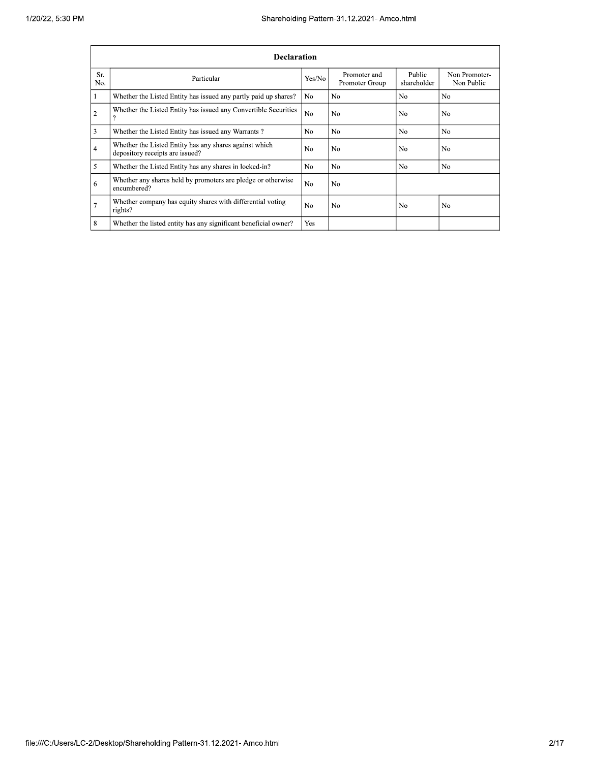|                |                                                                                           |                | Shareholding Pattern-31.12.2021- Amco.html |                       |                             |  |  |  |  |
|----------------|-------------------------------------------------------------------------------------------|----------------|--------------------------------------------|-----------------------|-----------------------------|--|--|--|--|
|                | <b>Declaration</b>                                                                        |                |                                            |                       |                             |  |  |  |  |
| Sr.<br>No.     | Particular                                                                                | Yes/No         | Promoter and<br>Promoter Group             | Public<br>shareholder | Non Promoter-<br>Non Public |  |  |  |  |
|                | Whether the Listed Entity has issued any partly paid up shares?                           | N <sub>0</sub> | N <sub>0</sub>                             | N <sub>0</sub>        | N <sub>0</sub>              |  |  |  |  |
| $\overline{c}$ | Whether the Listed Entity has issued any Convertible Securities<br>9                      | N <sub>0</sub> | No                                         | N <sub>0</sub>        | N <sub>0</sub>              |  |  |  |  |
| 3              | Whether the Listed Entity has issued any Warrants?                                        | N <sub>0</sub> | No                                         | N <sub>0</sub>        | N <sub>0</sub>              |  |  |  |  |
| 4              | Whether the Listed Entity has any shares against which<br>depository receipts are issued? | N <sub>0</sub> | No                                         | N <sub>0</sub>        | N <sub>0</sub>              |  |  |  |  |
| 5              | Whether the Listed Entity has any shares in locked-in?                                    | N <sub>0</sub> | No                                         | No                    | No                          |  |  |  |  |
| 6              | Whether any shares held by promoters are pledge or otherwise<br>encumbered?               | N <sub>o</sub> | No                                         |                       |                             |  |  |  |  |
| 7              | Whether company has equity shares with differential voting<br>rights?                     | No             | No                                         | No                    | No                          |  |  |  |  |
| 8              | Whether the listed entity has any significant beneficial owner?                           | Yes            |                                            |                       |                             |  |  |  |  |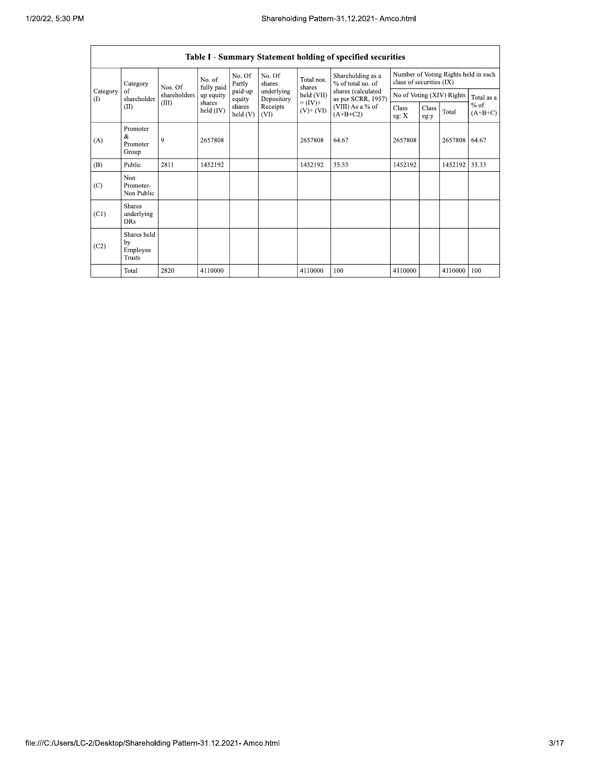$\mathsf{r}$ 

 $\overline{\phantom{0}}$ 

|                 | Table I - Summary Statement holding of specified securities |              |                      |                   |                                                                                    |                      |                                          |                                                                  |       |                           |            |
|-----------------|-------------------------------------------------------------|--------------|----------------------|-------------------|------------------------------------------------------------------------------------|----------------------|------------------------------------------|------------------------------------------------------------------|-------|---------------------------|------------|
|                 | Category                                                    | Nos. Of      | No. of<br>fully paid | No. Of<br>Partly  | No. Of<br>shares                                                                   | Total nos.<br>shares | Shareholding as a<br>% of total no. of   | Number of Voting Rights held in each<br>class of securities (IX) |       |                           |            |
| Category<br>(1) | of<br>shareholder                                           | shareholders | up equity            | paid-up<br>equity | underlying<br>Depository                                                           | held (VII)           | shares (calculated<br>as per SCRR, 1957) |                                                                  |       | No of Voting (XIV) Rights | Total as a |
|                 | (II)                                                        | (III)        | shares<br>held (IV)  | shares<br>held(V) | $= (IV) +$<br>Receipts<br>(VIII) As a % of<br>$(V)$ + $(VI)$<br>$(A+B+C2)$<br>(VI) |                      | Class<br>eg: $X$                         | Class<br>eg:y                                                    | Total | $%$ of<br>$(A+B+C)$       |            |
| (A)             | Promoter<br>&<br>Promoter<br>Group                          | 9            | 2657808              |                   |                                                                                    | 2657808              | 64.67                                    | 2657808                                                          |       | 2657808                   | 64.67      |
| (B)             | Public                                                      | 2811         | 1452192              |                   |                                                                                    | 1452192              | 35.33                                    | 1452192                                                          |       | 1452192                   | 35.33      |
| (C)             | Non<br>Promoter-<br>Non Public                              |              |                      |                   |                                                                                    |                      |                                          |                                                                  |       |                           |            |
| (C1)            | <b>Shares</b><br>underlying<br><b>DRs</b>                   |              |                      |                   |                                                                                    |                      |                                          |                                                                  |       |                           |            |
| (C2)            | Shares held<br>by<br>Employee<br><b>Trusts</b>              |              |                      |                   |                                                                                    |                      |                                          |                                                                  |       |                           |            |
|                 | Total                                                       | 2820         | 4110000              |                   |                                                                                    | 4110000              | 100                                      | 4110000                                                          |       | 4110000                   | 100        |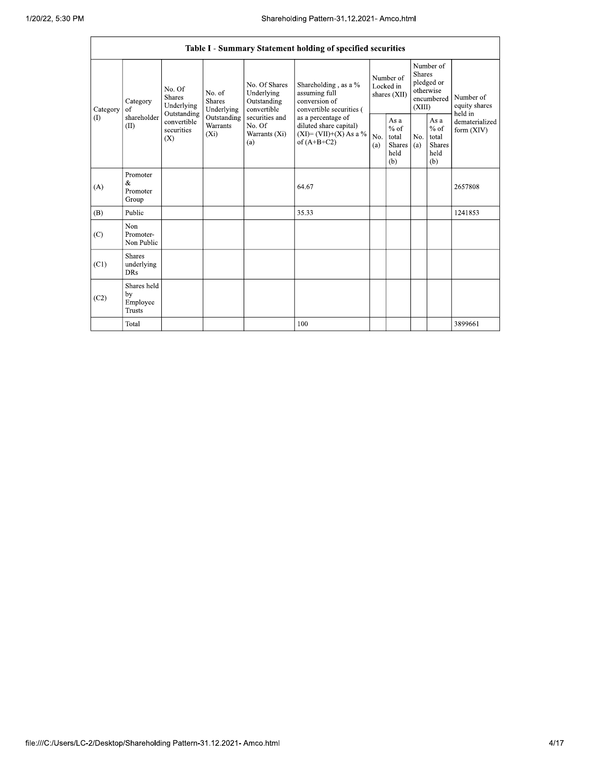|          | Shareholding Pattern-31.12.2021- Amco.html                                                        |                                                                                                                                                                                                                                         |                                                           |                                                                                    |                                                             |                                                         |                                                                        |  |                                                                         |         |
|----------|---------------------------------------------------------------------------------------------------|-----------------------------------------------------------------------------------------------------------------------------------------------------------------------------------------------------------------------------------------|-----------------------------------------------------------|------------------------------------------------------------------------------------|-------------------------------------------------------------|---------------------------------------------------------|------------------------------------------------------------------------|--|-------------------------------------------------------------------------|---------|
|          |                                                                                                   |                                                                                                                                                                                                                                         |                                                           |                                                                                    | Table I - Summary Statement holding of specified securities |                                                         |                                                                        |  |                                                                         |         |
| Category | No. Of<br>No. of<br><b>Shares</b><br><b>Shares</b><br>Category<br>Underlying<br>of<br>Outstanding | Underlying                                                                                                                                                                                                                              | No. Of Shares<br>Underlying<br>Outstanding<br>convertible | Shareholding, as a %<br>assuming full<br>conversion of<br>convertible securities ( | Number of<br>Locked in<br>shares (XII)                      |                                                         | Number of<br>Shares<br>pledged or<br>otherwise<br>encumbered<br>(XIII) |  | Number of<br>equity shares<br>held in<br>dematerialized<br>form $(XIV)$ |         |
| (1)      | (II)                                                                                              | shareholder<br>Outstanding<br>securities and<br>as a percentage of<br>convertible<br>Warrants<br>No. Of<br>diluted share capital)<br>securities<br>$(XI) = (VII)+(X) As a %$<br>$(X_i)$<br>Warrants (Xi)<br>(X)<br>of $(A+B+C2)$<br>(a) | No.<br>(a)                                                | As a<br>$%$ of<br>total<br><b>Shares</b><br>held<br>(b)                            | No.<br>(a)                                                  | As a<br>$%$ of<br>total<br><b>Shares</b><br>held<br>(b) |                                                                        |  |                                                                         |         |
| (A)      | Promoter<br>&<br>Promoter<br>Group                                                                |                                                                                                                                                                                                                                         |                                                           |                                                                                    | 64.67                                                       |                                                         |                                                                        |  |                                                                         | 2657808 |
| (B)      | Public                                                                                            |                                                                                                                                                                                                                                         |                                                           |                                                                                    | 35.33                                                       |                                                         |                                                                        |  |                                                                         | 1241853 |
| (C)      | Non<br>Promoter-<br>Non Public                                                                    |                                                                                                                                                                                                                                         |                                                           |                                                                                    |                                                             |                                                         |                                                                        |  |                                                                         |         |
| (C1)     | <b>Shares</b><br>underlying<br><b>DRs</b>                                                         |                                                                                                                                                                                                                                         |                                                           |                                                                                    |                                                             |                                                         |                                                                        |  |                                                                         |         |
| (C2)     | Shares held<br>by<br>Employee<br><b>Trusts</b>                                                    |                                                                                                                                                                                                                                         |                                                           |                                                                                    |                                                             |                                                         |                                                                        |  |                                                                         |         |
|          | Total                                                                                             |                                                                                                                                                                                                                                         |                                                           |                                                                                    | 100                                                         |                                                         |                                                                        |  |                                                                         | 3899661 |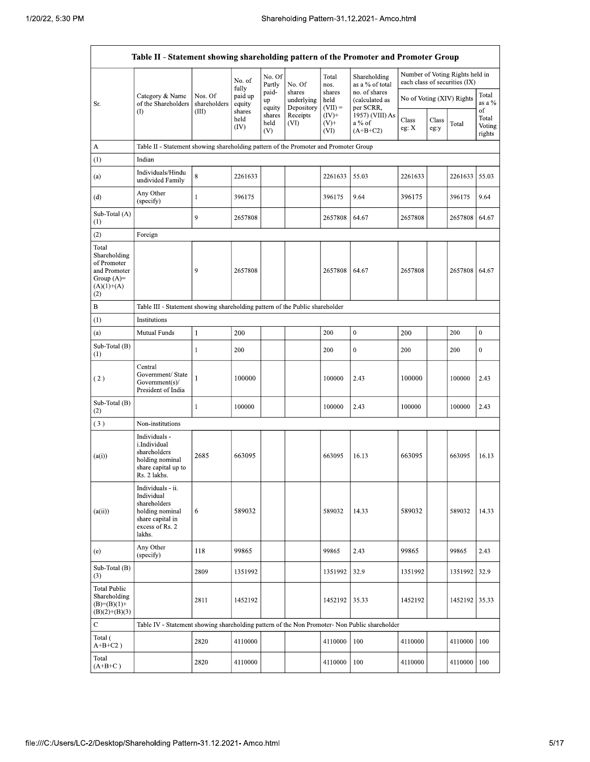|                                                                                             | Table II - Statement showing shareholding pattern of the Promoter and Promoter Group                                |                         |                            |                       |                                    |                             |                                              |                           |               |                                                                  |                                 |
|---------------------------------------------------------------------------------------------|---------------------------------------------------------------------------------------------------------------------|-------------------------|----------------------------|-----------------------|------------------------------------|-----------------------------|----------------------------------------------|---------------------------|---------------|------------------------------------------------------------------|---------------------------------|
|                                                                                             |                                                                                                                     |                         | No. of                     | No. Of<br>Partly      | No. Of                             | Total<br>nos.               | Shareholding<br>as a % of total              |                           |               | Number of Voting Rights held in<br>each class of securities (IX) |                                 |
| Sr.                                                                                         | Category & Name<br>of the Shareholders                                                                              | Nos. Of<br>shareholders | fully<br>paid up<br>equity | paid-<br>up<br>equity | shares<br>underlying<br>Depository | shares<br>held<br>$(VII) =$ | no. of shares<br>(calculated as<br>per SCRR, | No of Voting (XIV) Rights |               | Total<br>as a %                                                  |                                 |
|                                                                                             | (I)                                                                                                                 | (III)                   | shares<br>held<br>(IV)     | shares<br>held<br>(V) | Receipts<br>(VI)                   | $(IV)+$<br>$(V)$ +<br>(VI)  | 1957) (VIII) As<br>a % of<br>$(A+B+C2)$      | Class<br>eg: X            | Class<br>eg:y | Total                                                            | of<br>Total<br>Voting<br>rights |
| A                                                                                           | Table II - Statement showing shareholding pattern of the Promoter and Promoter Group                                |                         |                            |                       |                                    |                             |                                              |                           |               |                                                                  |                                 |
| (1)                                                                                         | Indian                                                                                                              |                         |                            |                       |                                    |                             |                                              |                           |               |                                                                  |                                 |
| (a)                                                                                         | Individuals/Hindu<br>undivided Family                                                                               | 8                       | 2261633                    |                       |                                    | 2261633                     | 55.03                                        | 2261633                   |               | 2261633                                                          | 55.03                           |
| (d)                                                                                         | Any Other<br>(specify)                                                                                              | $\mathbf{1}$            | 396175                     |                       |                                    | 396175                      | 9.64                                         | 396175                    |               | 396175                                                           | 9.64                            |
| Sub-Total (A)<br>$\left(1\right)$                                                           |                                                                                                                     | 9                       | 2657808                    |                       |                                    | 2657808                     | 64.67                                        | 2657808                   |               | 2657808                                                          | 64.67                           |
| (2)                                                                                         | Foreign                                                                                                             |                         |                            |                       |                                    |                             |                                              |                           |               |                                                                  |                                 |
| Total<br>Shareholding<br>of Promoter<br>and Promoter<br>Group $(A)=$<br>$(A)(1)+(A)$<br>(2) |                                                                                                                     | 9                       | 2657808                    |                       |                                    | 2657808                     | 64.67                                        | 2657808                   |               | 2657808                                                          | 64.67                           |
| B                                                                                           | Table III - Statement showing shareholding pattern of the Public shareholder                                        |                         |                            |                       |                                    |                             |                                              |                           |               |                                                                  |                                 |
| $\left(1\right)$                                                                            | Institutions                                                                                                        |                         |                            |                       |                                    |                             |                                              |                           |               |                                                                  |                                 |
| (a)                                                                                         | Mutual Funds                                                                                                        | 1                       | 200                        |                       |                                    | 200                         | $\mathbf{0}$                                 | 200                       |               | 200                                                              | $\bf{0}$                        |
| Sub-Total (B)<br>$\left(1\right)$                                                           |                                                                                                                     | 1                       | 200                        |                       |                                    | 200                         | $\boldsymbol{0}$                             | 200                       |               | 200                                                              | $\mathbf{0}$                    |
| (2)                                                                                         | Central<br>Government/ State<br>Government(s)/<br>President of India                                                | 1                       | 100000                     |                       |                                    | 100000                      | 2.43                                         | 100000                    |               | 100000                                                           | 2.43                            |
| Sub-Total (B)<br>(2)                                                                        |                                                                                                                     | 1                       | 100000                     |                       |                                    | 100000                      | 2.43                                         | 100000                    |               | 100000                                                           | 2.43                            |
| (3)                                                                                         | Non-institutions                                                                                                    |                         |                            |                       |                                    |                             |                                              |                           |               |                                                                  |                                 |
| (a(i))                                                                                      | Individuals -<br>i.Individual<br>shareholders<br>holding nominal<br>share capital up to<br>Rs. 2 lakhs.             | 2685                    | 663095                     |                       |                                    | 663095                      | 16.13                                        | 663095                    |               | 663095                                                           | 16.13                           |
| (a(ii))                                                                                     | Individuals - ii.<br>Individual<br>shareholders<br>holding nominal<br>share capital in<br>excess of Rs. 2<br>lakhs. | 6                       | 589032                     |                       |                                    | 589032                      | 14.33                                        | 589032                    |               | 589032                                                           | 14.33                           |
| (e)                                                                                         | Any Other<br>(specify)                                                                                              | 118                     | 99865                      |                       |                                    | 99865                       | 2.43                                         | 99865                     |               | 99865                                                            | 2.43                            |
| Sub-Total (B)<br>(3)                                                                        |                                                                                                                     | 2809                    | 1351992                    |                       |                                    | 1351992                     | 32.9                                         | 1351992                   |               | 1351992                                                          | 32.9                            |
| <b>Total Public</b><br>Shareholding<br>$(B)=(B)(1)+$<br>$(B)(2)+(B)(3)$                     |                                                                                                                     | 2811                    | 1452192                    |                       |                                    | 1452192                     | 35.33                                        | 1452192                   |               | 1452192                                                          | 35.33                           |
| С                                                                                           | Table IV - Statement showing shareholding pattern of the Non Promoter- Non Public shareholder                       |                         |                            |                       |                                    |                             |                                              |                           |               |                                                                  |                                 |
| Total (<br>$A+B+C2$ )                                                                       |                                                                                                                     | 2820                    | 4110000                    |                       |                                    | 4110000                     | 100                                          | 4110000                   |               | 4110000                                                          | 100                             |
| Total<br>$(A+B+C)$                                                                          |                                                                                                                     | 2820                    | 4110000                    |                       |                                    | 4110000                     | 100                                          | 4110000                   |               | 4110000                                                          | 100                             |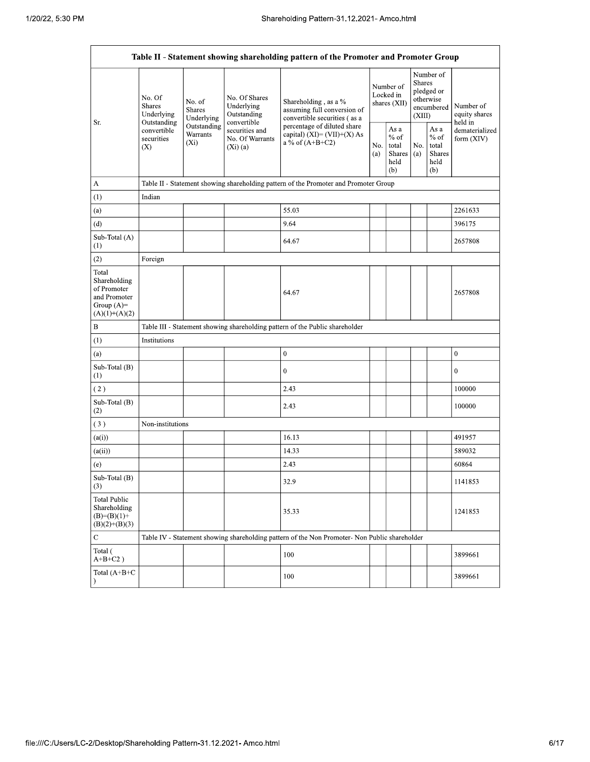F

|                                                                                         | Table II - Statement showing shareholding pattern of the Promoter and Promoter Group |                                       |                                                           |                                                                                               |            |                                                  |                                                                        |                                                   |                                       |
|-----------------------------------------------------------------------------------------|--------------------------------------------------------------------------------------|---------------------------------------|-----------------------------------------------------------|-----------------------------------------------------------------------------------------------|------------|--------------------------------------------------|------------------------------------------------------------------------|---------------------------------------------------|---------------------------------------|
| Sr.                                                                                     | No. Of<br><b>Shares</b><br>Underlying<br>Outstanding                                 | No. of<br><b>Shares</b><br>Underlying | No. Of Shares<br>Underlying<br>Outstanding<br>convertible | Shareholding, as a %<br>assuming full conversion of<br>convertible securities (as a           |            | Number of<br>Locked in<br>shares (XII)           | Number of<br>Shares<br>pledged or<br>otherwise<br>encumbered<br>(XIII) |                                                   | Number of<br>equity shares<br>held in |
|                                                                                         | convertible<br>securities<br>(X)                                                     | Outstanding<br>Warrants<br>$(X_i)$    | securities and<br>No. Of Warrants<br>(Xi)(a)              | percentage of diluted share<br>capital) $(XI) = (VII)+(X) As$<br>a % of $(A+B+C2)$            | No.<br>(a) | As a<br>$%$ of<br>total<br>Shares<br>held<br>(b) | No.<br>(a)                                                             | As a<br>$\%$ of<br>total<br>Shares<br>held<br>(b) | dematerialized<br>form (XIV)          |
| A                                                                                       |                                                                                      |                                       |                                                           | Table II - Statement showing shareholding pattern of the Promoter and Promoter Group          |            |                                                  |                                                                        |                                                   |                                       |
| (1)                                                                                     | Indian                                                                               |                                       |                                                           |                                                                                               |            |                                                  |                                                                        |                                                   |                                       |
| (a)                                                                                     |                                                                                      |                                       |                                                           | 55.03                                                                                         |            |                                                  |                                                                        |                                                   | 2261633                               |
| (d)                                                                                     |                                                                                      |                                       |                                                           | 9.64                                                                                          |            |                                                  |                                                                        |                                                   | 396175                                |
| Sub-Total (A)<br>$^{(1)}$                                                               |                                                                                      |                                       |                                                           | 64.67                                                                                         |            |                                                  |                                                                        |                                                   | 2657808                               |
| (2)                                                                                     | Foreign                                                                              |                                       |                                                           |                                                                                               |            |                                                  |                                                                        |                                                   |                                       |
| Total<br>Shareholding<br>of Promoter<br>and Promoter<br>Group $(A)=$<br>$(A)(1)+(A)(2)$ |                                                                                      |                                       |                                                           | 64.67                                                                                         |            |                                                  |                                                                        |                                                   | 2657808                               |
| B                                                                                       |                                                                                      |                                       |                                                           | Table III - Statement showing shareholding pattern of the Public shareholder                  |            |                                                  |                                                                        |                                                   |                                       |
| (1)                                                                                     | Institutions                                                                         |                                       |                                                           |                                                                                               |            |                                                  |                                                                        |                                                   |                                       |
| (a)                                                                                     |                                                                                      |                                       |                                                           | $\mathbf{0}$                                                                                  |            |                                                  |                                                                        |                                                   | $\boldsymbol{0}$                      |
| Sub-Total (B)<br>(1)                                                                    |                                                                                      |                                       |                                                           | $\mathbf{0}$                                                                                  |            |                                                  |                                                                        |                                                   | $\mathbf{0}$                          |
| (2)                                                                                     |                                                                                      |                                       |                                                           | 2.43                                                                                          |            |                                                  |                                                                        |                                                   | 100000                                |
| Sub-Total (B)<br>(2)                                                                    |                                                                                      |                                       |                                                           | 2.43                                                                                          |            |                                                  |                                                                        |                                                   | 100000                                |
| (3)                                                                                     | Non-institutions                                                                     |                                       |                                                           |                                                                                               |            |                                                  |                                                                        |                                                   |                                       |
| (a(i))                                                                                  |                                                                                      |                                       |                                                           | 16.13                                                                                         |            |                                                  |                                                                        |                                                   | 491957                                |
| (a(ii))                                                                                 |                                                                                      |                                       |                                                           | 14.33                                                                                         |            |                                                  |                                                                        |                                                   | 589032                                |
| (e)                                                                                     |                                                                                      |                                       |                                                           | 2.43                                                                                          |            |                                                  |                                                                        |                                                   | 60864                                 |
| Sub-Total (B)<br>(3)                                                                    |                                                                                      |                                       |                                                           | 32.9                                                                                          |            |                                                  |                                                                        |                                                   | 1141853                               |
| <b>Total Public</b><br>Shareholding<br>$(B)=(B)(1)+$<br>$(B)(2)+(B)(3)$                 |                                                                                      |                                       |                                                           | 35.33                                                                                         |            |                                                  |                                                                        |                                                   | 1241853                               |
| ${\bf C}$                                                                               |                                                                                      |                                       |                                                           | Table IV - Statement showing shareholding pattern of the Non Promoter- Non Public shareholder |            |                                                  |                                                                        |                                                   |                                       |
| Total (<br>$A+B+C2$ )                                                                   |                                                                                      |                                       |                                                           | 100                                                                                           |            |                                                  |                                                                        |                                                   | 3899661                               |
| Total (A+B+C<br>$\lambda$                                                               |                                                                                      |                                       |                                                           | 100                                                                                           |            |                                                  |                                                                        |                                                   | 3899661                               |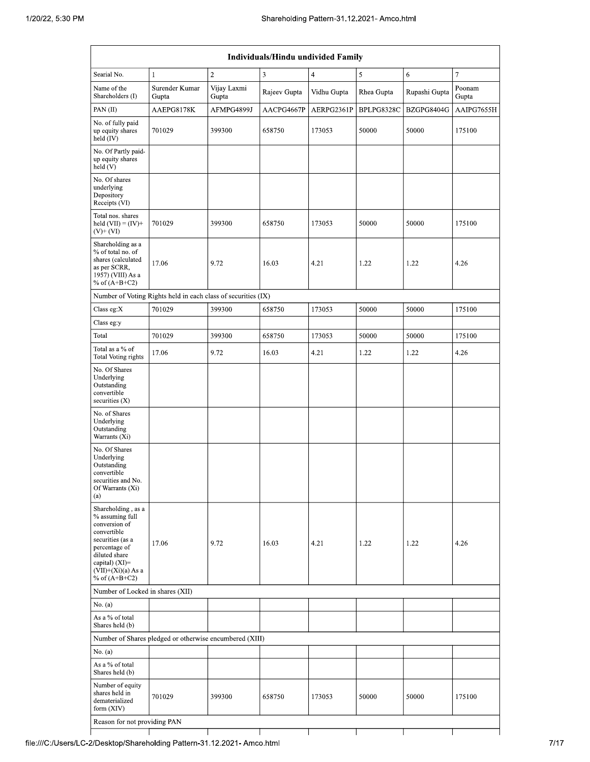| Individuals/Hindu undivided Family                                                                                                                                                          |                                                               |                      |              |                |            |               |                  |  |
|---------------------------------------------------------------------------------------------------------------------------------------------------------------------------------------------|---------------------------------------------------------------|----------------------|--------------|----------------|------------|---------------|------------------|--|
| Searial No.                                                                                                                                                                                 | $\mathbf{1}$                                                  | $\overline{2}$       | 3            | $\overline{4}$ | 5          | 6             | $\boldsymbol{7}$ |  |
| Name of the<br>Shareholders (I)                                                                                                                                                             | Surender Kumar<br>Gupta                                       | Vijay Laxmi<br>Gupta | Rajeev Gupta | Vidhu Gupta    | Rhea Gupta | Rupashi Gupta | Poonam<br>Gupta  |  |
| PAN(II)                                                                                                                                                                                     | AAEPG8178K                                                    | AFMPG4899J           | AACPG4667P   | AERPG2361P     | BPLPG8328C | BZGPG8404G    | AAIPG7655H       |  |
| No. of fully paid<br>up equity shares<br>held (IV)                                                                                                                                          | 701029                                                        | 399300               | 658750       | 173053         | 50000      | 50000         | 175100           |  |
| No. Of Partly paid-<br>up equity shares<br>held(V)                                                                                                                                          |                                                               |                      |              |                |            |               |                  |  |
| No. Of shares<br>underlying<br>Depository<br>Receipts (VI)                                                                                                                                  |                                                               |                      |              |                |            |               |                  |  |
| Total nos. shares<br>held $(VII) = (IV) +$<br>$(V)$ + $(VI)$                                                                                                                                | 701029                                                        | 399300               | 658750       | 173053         | 50000      | 50000         | 175100           |  |
| Shareholding as a<br>% of total no. of<br>shares (calculated<br>as per SCRR,<br>1957) (VIII) As a<br>% of $(A+B+C2)$                                                                        | 17.06                                                         | 9.72                 | 16.03        | 4.21           | 1.22       | 1.22          | 4.26             |  |
|                                                                                                                                                                                             | Number of Voting Rights held in each class of securities (IX) |                      |              |                |            |               |                  |  |
| Class eg: $X$                                                                                                                                                                               | 701029                                                        | 399300               | 658750       | 173053         | 50000      | 50000         | 175100           |  |
| Class eg:y                                                                                                                                                                                  |                                                               |                      |              |                |            |               |                  |  |
| Total                                                                                                                                                                                       | 701029                                                        | 399300               | 658750       | 173053         | 50000      | 50000         | 175100           |  |
| Total as a % of<br><b>Total Voting rights</b>                                                                                                                                               | 17.06                                                         | 9.72                 | 16.03        | 4.21           | 1.22       | 1.22          | 4.26             |  |
| No. Of Shares<br>Underlying<br>Outstanding<br>convertible<br>securities $(X)$                                                                                                               |                                                               |                      |              |                |            |               |                  |  |
| No. of Shares<br>Underlying<br>Outstanding<br>Warrants (Xi)                                                                                                                                 |                                                               |                      |              |                |            |               |                  |  |
| No. Of Shares<br>Underlying<br>Outstanding<br>convertible<br>securities and No.<br>Of Warrants (Xi)<br>(a)                                                                                  |                                                               |                      |              |                |            |               |                  |  |
| Shareholding, as a<br>% assuming full<br>conversion of<br>convertible<br>securities (as a<br>percentage of<br>diluted share<br>capital) $(XI)$ =<br>$(VII)+(Xi)(a)$ As a<br>% of $(A+B+C2)$ | 17.06                                                         | 9.72                 | 16.03        | 4.21           | 1.22       | 1.22          | 4.26             |  |
|                                                                                                                                                                                             | Number of Locked in shares (XII)                              |                      |              |                |            |               |                  |  |
| No. (a)                                                                                                                                                                                     |                                                               |                      |              |                |            |               |                  |  |
| As a % of total<br>Shares held (b)                                                                                                                                                          |                                                               |                      |              |                |            |               |                  |  |
|                                                                                                                                                                                             | Number of Shares pledged or otherwise encumbered (XIII)       |                      |              |                |            |               |                  |  |
| No. (a)                                                                                                                                                                                     |                                                               |                      |              |                |            |               |                  |  |
| As a % of total<br>Shares held (b)                                                                                                                                                          |                                                               |                      |              |                |            |               |                  |  |
| Number of equity<br>shares held in<br>dematerialized<br>form (XIV)                                                                                                                          | 701029                                                        | 399300               | 658750       | 173053         | 50000      | 50000         | 175100           |  |
| Reason for not providing PAN                                                                                                                                                                |                                                               |                      |              |                |            |               |                  |  |
|                                                                                                                                                                                             |                                                               |                      |              |                |            |               |                  |  |

 $\top$ 

┯

┬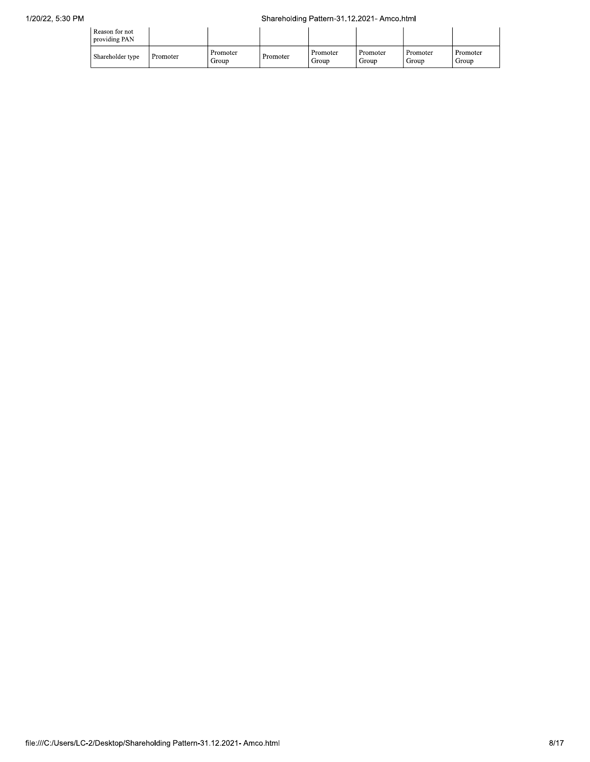| Reason for not<br>providing PAN |          |                   |          |                   |                   |                   |                   |
|---------------------------------|----------|-------------------|----------|-------------------|-------------------|-------------------|-------------------|
| Shareholder type                | Promoter | Promoter<br>Group | Promoter | Promoter<br>Group | Promoter<br>Group | Promoter<br>Group | Promoter<br>Group |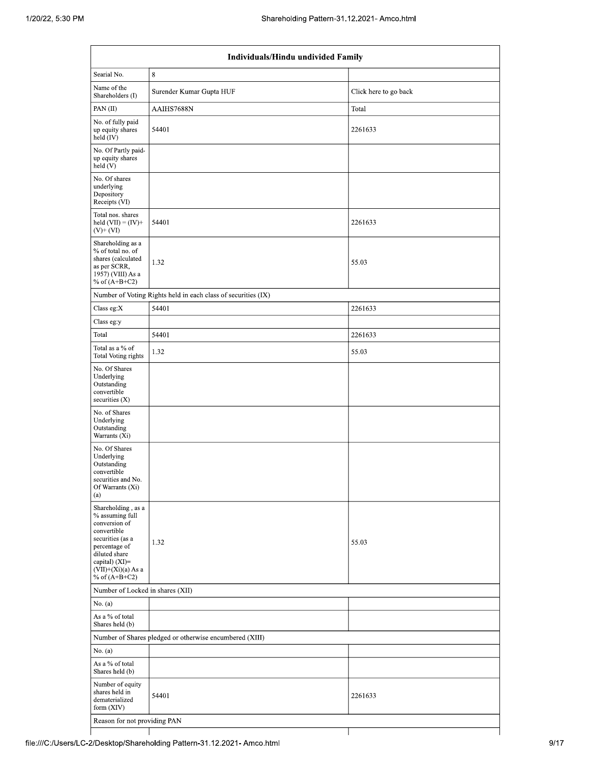| Individuals/Hindu undivided Family                                                                                                                                                       |                                                               |                       |  |  |  |  |  |
|------------------------------------------------------------------------------------------------------------------------------------------------------------------------------------------|---------------------------------------------------------------|-----------------------|--|--|--|--|--|
| Searial No.                                                                                                                                                                              | $\,8\,$                                                       |                       |  |  |  |  |  |
| Name of the<br>Shareholders (I)                                                                                                                                                          | Surender Kumar Gupta HUF                                      | Click here to go back |  |  |  |  |  |
| PAN (II)                                                                                                                                                                                 | AAIHS7688N                                                    | Total                 |  |  |  |  |  |
| No. of fully paid<br>up equity shares<br>held (IV)                                                                                                                                       | 54401                                                         | 2261633               |  |  |  |  |  |
| No. Of Partly paid-<br>up equity shares<br>held(V)                                                                                                                                       |                                                               |                       |  |  |  |  |  |
| No. Of shares<br>underlying<br>Depository<br>Receipts (VI)                                                                                                                               |                                                               |                       |  |  |  |  |  |
| Total nos. shares<br>held $(VII) = (IV) +$<br>$(V)$ + $(VI)$                                                                                                                             | 54401                                                         | 2261633               |  |  |  |  |  |
| Shareholding as a<br>% of total no. of<br>shares (calculated<br>as per SCRR,<br>1957) (VIII) As a<br>% of $(A+B+C2)$                                                                     | 1.32                                                          | 55.03                 |  |  |  |  |  |
|                                                                                                                                                                                          | Number of Voting Rights held in each class of securities (IX) |                       |  |  |  |  |  |
| Class eg:X                                                                                                                                                                               | 54401                                                         | 2261633               |  |  |  |  |  |
| Class eg:y                                                                                                                                                                               |                                                               |                       |  |  |  |  |  |
| Total                                                                                                                                                                                    | 54401                                                         | 2261633               |  |  |  |  |  |
| Total as a % of<br>Total Voting rights                                                                                                                                                   | 1.32                                                          | 55.03                 |  |  |  |  |  |
| No. Of Shares<br>Underlying<br>Outstanding<br>convertible<br>securities $(X)$                                                                                                            |                                                               |                       |  |  |  |  |  |
| No. of Shares<br>Underlying<br>Outstanding<br>Warrants (Xi)                                                                                                                              |                                                               |                       |  |  |  |  |  |
| No. Of Shares<br>Underlying<br>Outstanding<br>convertible<br>securities and No.<br>Of Warrants (Xi)<br>(a)                                                                               |                                                               |                       |  |  |  |  |  |
| Shareholding, as a<br>% assuming full<br>conversion of<br>convertible<br>securities (as a<br>percentage of<br>diluted share<br>capital) (XI)=<br>$(VII)+(Xi)(a) As a$<br>% of $(A+B+C2)$ | 1.32                                                          | 55.03                 |  |  |  |  |  |
|                                                                                                                                                                                          | Number of Locked in shares (XII)                              |                       |  |  |  |  |  |
| No. (a)                                                                                                                                                                                  |                                                               |                       |  |  |  |  |  |
| As a % of total<br>Shares held (b)                                                                                                                                                       |                                                               |                       |  |  |  |  |  |
|                                                                                                                                                                                          | Number of Shares pledged or otherwise encumbered (XIII)       |                       |  |  |  |  |  |
| No. (a)                                                                                                                                                                                  |                                                               |                       |  |  |  |  |  |
| As a % of total<br>Shares held (b)                                                                                                                                                       |                                                               |                       |  |  |  |  |  |
| Number of equity<br>shares held in<br>dematerialized<br>form (XIV)                                                                                                                       | 54401                                                         | 2261633               |  |  |  |  |  |
| Reason for not providing PAN                                                                                                                                                             |                                                               |                       |  |  |  |  |  |
|                                                                                                                                                                                          |                                                               |                       |  |  |  |  |  |

T file:///C:/Users/LC-2/Desktop/Shareholding Pattern-31.12.2021- Amco.html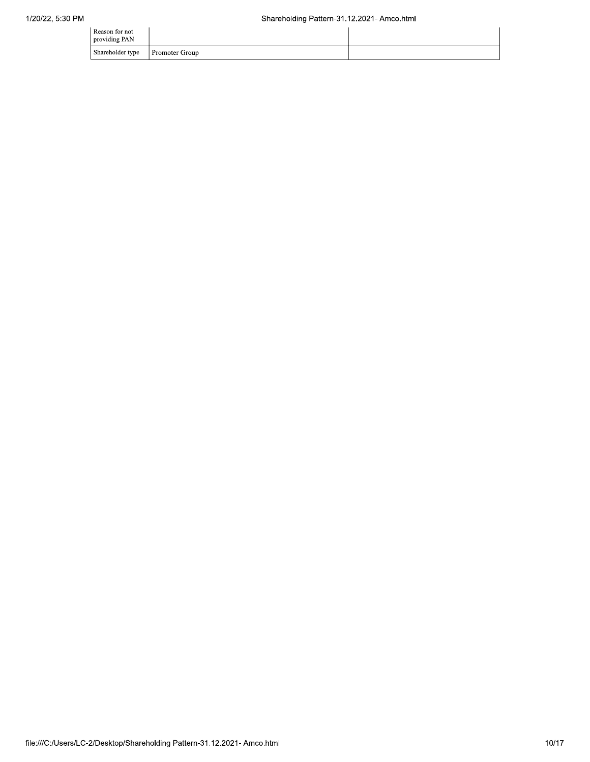| Reason for not<br>providing PAN |                       |  |
|---------------------------------|-----------------------|--|
| Shareholder type                | <b>Promoter Group</b> |  |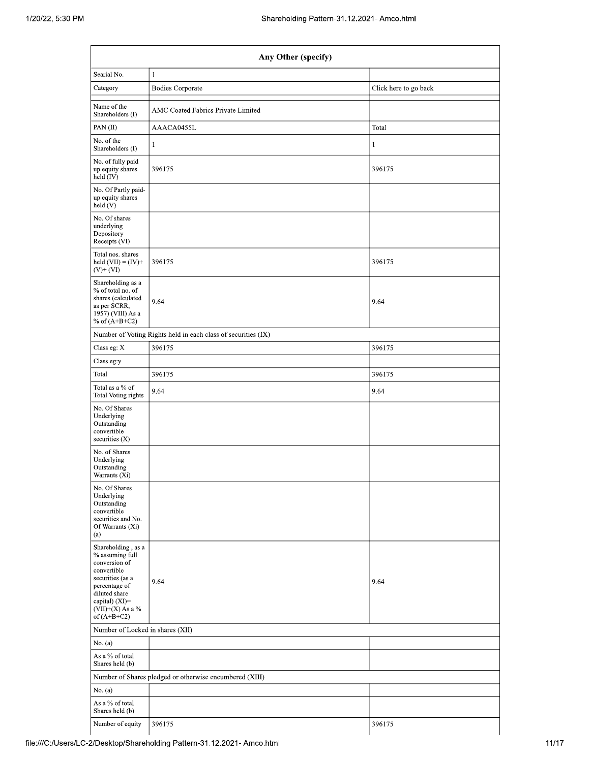| Any Other (specify)                                                                                                                                                                  |                                                               |                       |  |  |  |  |  |
|--------------------------------------------------------------------------------------------------------------------------------------------------------------------------------------|---------------------------------------------------------------|-----------------------|--|--|--|--|--|
| Searial No.                                                                                                                                                                          | 1                                                             |                       |  |  |  |  |  |
| Category                                                                                                                                                                             | <b>Bodies Corporate</b>                                       | Click here to go back |  |  |  |  |  |
| Name of the<br>Shareholders (I)                                                                                                                                                      | AMC Coated Fabrics Private Limited                            |                       |  |  |  |  |  |
| PAN (II)                                                                                                                                                                             | AAACA0455L                                                    | Total                 |  |  |  |  |  |
| No. of the<br>Shareholders (I)                                                                                                                                                       | 1                                                             | $\mathbf{1}$          |  |  |  |  |  |
| No. of fully paid<br>up equity shares<br>held $(IV)$                                                                                                                                 | 396175                                                        | 396175                |  |  |  |  |  |
| No. Of Partly paid-<br>up equity shares<br>held (V)                                                                                                                                  |                                                               |                       |  |  |  |  |  |
| No. Of shares<br>underlying<br>Depository<br>Receipts (VI)                                                                                                                           |                                                               |                       |  |  |  |  |  |
| Total nos. shares<br>held $(VII) = (IV) +$<br>$(V)$ + $(VI)$                                                                                                                         | 396175                                                        | 396175                |  |  |  |  |  |
| Shareholding as a<br>% of total no. of<br>shares (calculated<br>as per SCRR,<br>1957) (VIII) As a<br>% of $(A+B+C2)$                                                                 | 9.64                                                          | 9.64                  |  |  |  |  |  |
|                                                                                                                                                                                      | Number of Voting Rights held in each class of securities (IX) |                       |  |  |  |  |  |
| Class eg: X                                                                                                                                                                          | 396175                                                        | 396175                |  |  |  |  |  |
| Class eg:y                                                                                                                                                                           |                                                               |                       |  |  |  |  |  |
| Total                                                                                                                                                                                | 396175                                                        | 396175                |  |  |  |  |  |
| Total as a % of<br>Total Voting rights                                                                                                                                               | 9.64                                                          | 9.64                  |  |  |  |  |  |
| No. Of Shares<br>Underlying<br>Outstanding<br>convertible<br>securities (X)                                                                                                          |                                                               |                       |  |  |  |  |  |
| No. of Shares<br>Underlying<br>Outstanding<br>Warrants (Xi)                                                                                                                          |                                                               |                       |  |  |  |  |  |
| No. Of Shares<br>Underlying<br>Outstanding<br>convertible<br>securities and No.<br>Of Warrants (Xi)<br>(a)                                                                           |                                                               |                       |  |  |  |  |  |
| Shareholding, as a<br>% assuming full<br>conversion of<br>convertible<br>securities (as a<br>percentage of<br>diluted share<br>capital) (XI)=<br>$(VII)+(X)$ As a %<br>of $(A+B+C2)$ | 9.64                                                          | 9.64                  |  |  |  |  |  |
| Number of Locked in shares (XII)                                                                                                                                                     |                                                               |                       |  |  |  |  |  |
| No. $(a)$                                                                                                                                                                            |                                                               |                       |  |  |  |  |  |
| As a % of total<br>Shares held (b)                                                                                                                                                   |                                                               |                       |  |  |  |  |  |
|                                                                                                                                                                                      | Number of Shares pledged or otherwise encumbered (XIII)       |                       |  |  |  |  |  |
| No. $(a)$                                                                                                                                                                            |                                                               |                       |  |  |  |  |  |
| As a % of total<br>Shares held (b)                                                                                                                                                   |                                                               |                       |  |  |  |  |  |
| Number of equity                                                                                                                                                                     | 396175                                                        | 396175                |  |  |  |  |  |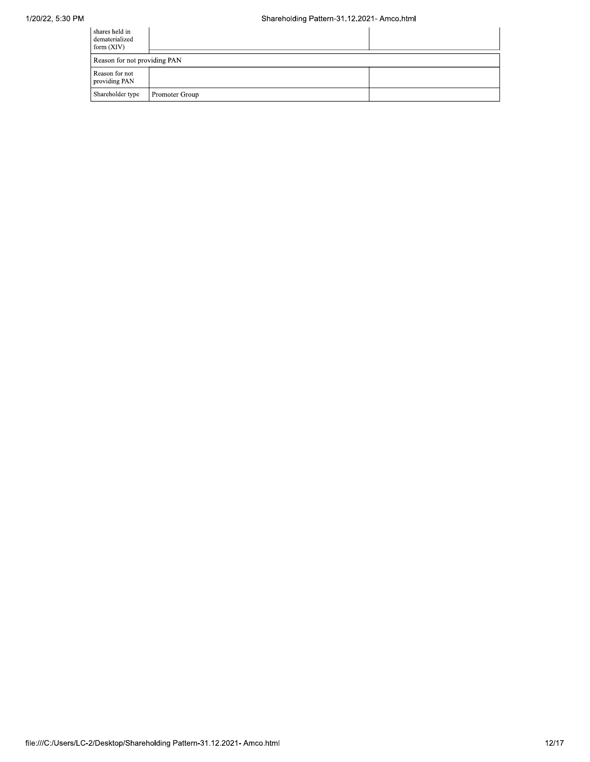| shares held in<br>dematerialized<br>form $(XIV)$ |                |  |  |  |  |  |
|--------------------------------------------------|----------------|--|--|--|--|--|
| Reason for not providing PAN                     |                |  |  |  |  |  |
| Reason for not<br>providing PAN                  |                |  |  |  |  |  |
| Shareholder type                                 | Promoter Group |  |  |  |  |  |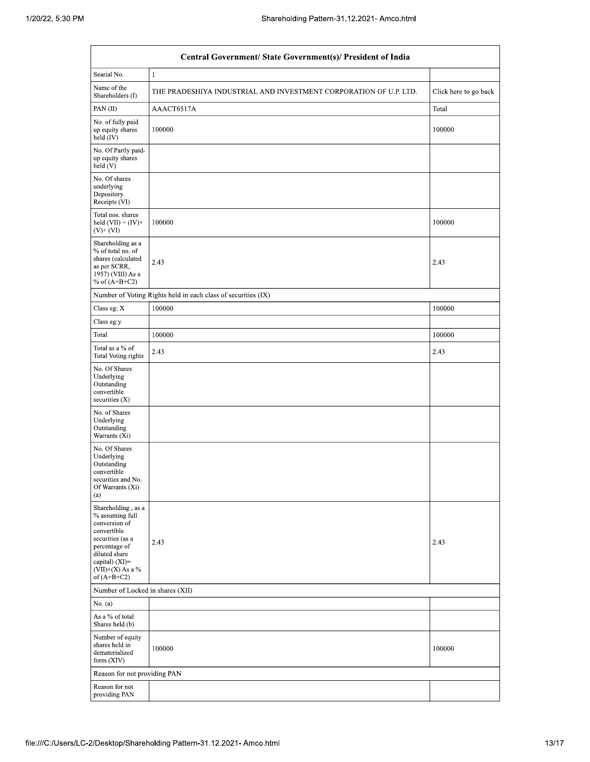| Central Government/ State Government(s)/ President of India                                                                                                                        |                                                                   |                       |  |  |  |  |  |  |
|------------------------------------------------------------------------------------------------------------------------------------------------------------------------------------|-------------------------------------------------------------------|-----------------------|--|--|--|--|--|--|
| Searial No.                                                                                                                                                                        | $\mathbf{1}$                                                      |                       |  |  |  |  |  |  |
| Name of the<br>Shareholders (I)                                                                                                                                                    | THE PRADESHIYA INDUSTRIAL AND INVESTMENT CORPORATION OF U.P. LTD. | Click here to go back |  |  |  |  |  |  |
| PAN(II)                                                                                                                                                                            | AAACT6517A                                                        | Total                 |  |  |  |  |  |  |
| No. of fully paid<br>up equity shares<br>held (IV)                                                                                                                                 | 100000                                                            | 100000                |  |  |  |  |  |  |
| No. Of Partly paid-<br>up equity shares<br>held (V)                                                                                                                                |                                                                   |                       |  |  |  |  |  |  |
| No. Of shares<br>underlying<br>Depository<br>Receipts (VI)                                                                                                                         |                                                                   |                       |  |  |  |  |  |  |
| Total nos. shares<br>held $(VII) = (IV) +$<br>$(V)$ + $(VI)$                                                                                                                       | 100000                                                            | 100000                |  |  |  |  |  |  |
| Shareholding as a<br>% of total no. of<br>shares (calculated<br>as per SCRR,<br>1957) (VIII) As a<br>% of $(A+B+C2)$                                                               | 2.43                                                              | 2.43                  |  |  |  |  |  |  |
|                                                                                                                                                                                    | Number of Voting Rights held in each class of securities (IX)     |                       |  |  |  |  |  |  |
| Class eg: X                                                                                                                                                                        | 100000                                                            | 100000                |  |  |  |  |  |  |
| Class eg:y                                                                                                                                                                         |                                                                   |                       |  |  |  |  |  |  |
| Total                                                                                                                                                                              | 100000                                                            | 100000                |  |  |  |  |  |  |
| Total as a % of<br>Total Voting rights                                                                                                                                             | 2.43                                                              | 2.43                  |  |  |  |  |  |  |
| No. Of Shares<br>Underlying<br>Outstanding<br>convertible<br>securities $(X)$                                                                                                      |                                                                   |                       |  |  |  |  |  |  |
| No. of Shares<br>Underlying<br>Outstanding<br>Warrants (Xi)                                                                                                                        |                                                                   |                       |  |  |  |  |  |  |
| No. Of Shares<br>Underlying<br>Outstanding<br>convertible<br>securities and No.<br>Of Warrants (Xi)<br>(a)                                                                         |                                                                   |                       |  |  |  |  |  |  |
| Shareholding, as a<br>% assuming full<br>conversion of<br>convertible<br>securities (as a<br>percentage of<br>diluted share<br>capital) (XI)=<br>(VII)+(X) As a %<br>of $(A+B+C2)$ | 2.43                                                              | 2.43                  |  |  |  |  |  |  |
| Number of Locked in shares (XII)                                                                                                                                                   |                                                                   |                       |  |  |  |  |  |  |
| No. (a)                                                                                                                                                                            |                                                                   |                       |  |  |  |  |  |  |
| As a % of total<br>Shares held (b)                                                                                                                                                 |                                                                   |                       |  |  |  |  |  |  |
| Number of equity<br>shares held in<br>dematerialized<br>form (XIV)                                                                                                                 | 100000                                                            | 100000                |  |  |  |  |  |  |
| Reason for not providing PAN                                                                                                                                                       |                                                                   |                       |  |  |  |  |  |  |
| Reason for not<br>providing PAN                                                                                                                                                    |                                                                   |                       |  |  |  |  |  |  |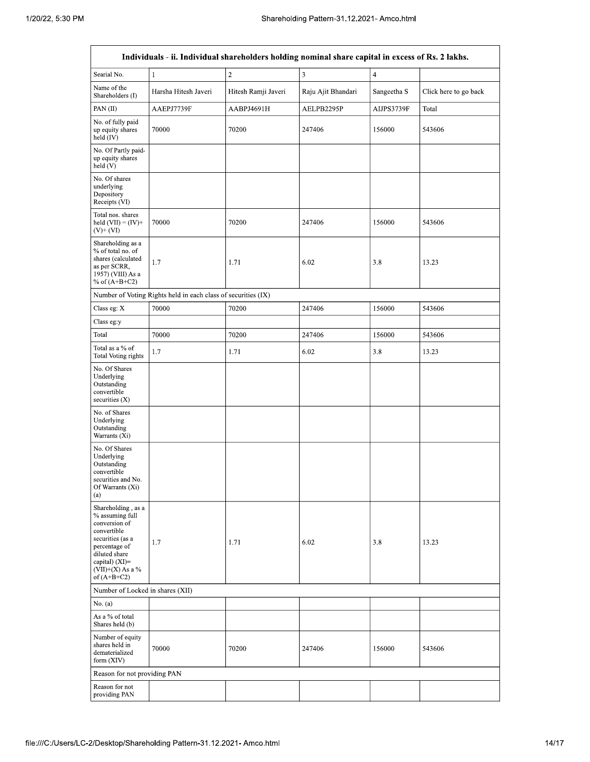| Individuals - ii. Individual shareholders holding nominal share capital in excess of Rs. 2 lakhs.                                                                                      |                      |                     |                    |                |                       |  |  |  |  |
|----------------------------------------------------------------------------------------------------------------------------------------------------------------------------------------|----------------------|---------------------|--------------------|----------------|-----------------------|--|--|--|--|
| Searial No.                                                                                                                                                                            | $\mathbf{1}$         | $\overline{2}$      | 3                  | $\overline{4}$ |                       |  |  |  |  |
| Name of the<br>Shareholders (I)                                                                                                                                                        | Harsha Hitesh Javeri | Hitesh Ramji Javeri | Raju Ajit Bhandari | Sangeetha S    | Click here to go back |  |  |  |  |
| PAN (II)                                                                                                                                                                               | AAEPJ7739F           | AABPJ4691H          | AELPB2295P         | AIJPS3739F     | Total                 |  |  |  |  |
| No. of fully paid<br>up equity shares<br>held (IV)                                                                                                                                     | 70000                | 70200               | 247406             | 156000         | 543606                |  |  |  |  |
| No. Of Partly paid-<br>up equity shares<br>held (V)                                                                                                                                    |                      |                     |                    |                |                       |  |  |  |  |
| No. Of shares<br>underlying<br>Depository<br>Receipts (VI)                                                                                                                             |                      |                     |                    |                |                       |  |  |  |  |
| Total nos. shares<br>held $(VII) = (IV) +$<br>$(V)$ + $(VI)$                                                                                                                           | 70000                | 70200               | 247406             | 156000         | 543606                |  |  |  |  |
| Shareholding as a<br>% of total no. of<br>shares (calculated<br>as per SCRR,<br>1957) (VIII) As a<br>% of $(A+B+C2)$                                                                   | 1.7                  | 1.71                | 6.02               | 3.8            | 13.23                 |  |  |  |  |
| Number of Voting Rights held in each class of securities (IX)                                                                                                                          |                      |                     |                    |                |                       |  |  |  |  |
| Class eg: X                                                                                                                                                                            | 70000                | 70200               | 247406             | 156000         | 543606                |  |  |  |  |
| Class eg:y                                                                                                                                                                             |                      |                     |                    |                |                       |  |  |  |  |
| Total                                                                                                                                                                                  | 70000                | 70200               | 247406             | 156000         | 543606                |  |  |  |  |
| Total as a % of<br><b>Total Voting rights</b>                                                                                                                                          | 1.7                  | 1.71                | 6.02               | 3.8            | 13.23                 |  |  |  |  |
| No. Of Shares<br>Underlying<br>Outstanding<br>convertible<br>securities $(X)$                                                                                                          |                      |                     |                    |                |                       |  |  |  |  |
| No. of Shares<br>Underlying<br>Outstanding<br>Warrants (Xi)                                                                                                                            |                      |                     |                    |                |                       |  |  |  |  |
| No. Of Shares<br>Underlying<br>Outstanding<br>convertible<br>securities and No.<br>Of Warrants (Xi)<br>(a)                                                                             |                      |                     |                    |                |                       |  |  |  |  |
| Shareholding, as a<br>% assuming full<br>conversion of<br>convertible<br>securities (as a<br>percentage of<br>diluted share<br>capital) $(XI)=$<br>$(VII)+(X)$ As a %<br>of $(A+B+C2)$ | 1.7                  | 1.71                | 6.02               | 3.8            | 13.23                 |  |  |  |  |
| Number of Locked in shares (XII)                                                                                                                                                       |                      |                     |                    |                |                       |  |  |  |  |
| No. (a)                                                                                                                                                                                |                      |                     |                    |                |                       |  |  |  |  |
| As a % of total<br>Shares held (b)                                                                                                                                                     |                      |                     |                    |                |                       |  |  |  |  |
| Number of equity<br>shares held in<br>dematerialized<br>form (XIV)                                                                                                                     | 70000                | 70200               | 247406             | 156000         | 543606                |  |  |  |  |
| Reason for not providing PAN                                                                                                                                                           |                      |                     |                    |                |                       |  |  |  |  |
| Reason for not<br>providing PAN                                                                                                                                                        |                      |                     |                    |                |                       |  |  |  |  |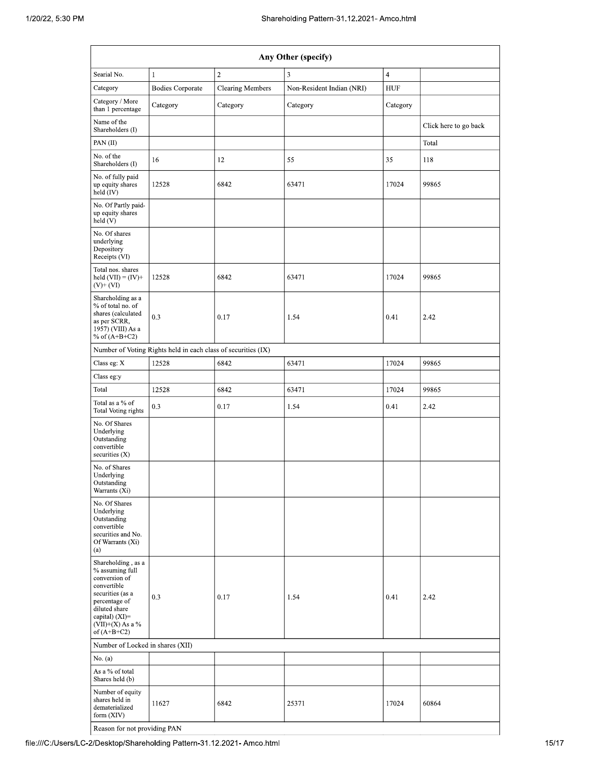| Any Other (specify)                                                                                                                                                                     |                                                               |          |                           |            |                       |  |  |  |  |
|-----------------------------------------------------------------------------------------------------------------------------------------------------------------------------------------|---------------------------------------------------------------|----------|---------------------------|------------|-----------------------|--|--|--|--|
| $\overline{2}$<br>Searial No.<br>3<br>$\overline{\mathbf{4}}$<br>$\mathbf{1}$                                                                                                           |                                                               |          |                           |            |                       |  |  |  |  |
| Category                                                                                                                                                                                | <b>Bodies Corporate</b><br><b>Clearing Members</b>            |          | Non-Resident Indian (NRI) | <b>HUF</b> |                       |  |  |  |  |
| Category / More<br>than 1 percentage                                                                                                                                                    | Category                                                      | Category | Category                  | Category   |                       |  |  |  |  |
| Name of the<br>Shareholders (I)                                                                                                                                                         |                                                               |          |                           |            | Click here to go back |  |  |  |  |
| PAN(II)                                                                                                                                                                                 |                                                               |          |                           |            | Total                 |  |  |  |  |
| No. of the<br>Shareholders (I)                                                                                                                                                          | 16                                                            | 12       | 55                        | 35         | 118                   |  |  |  |  |
| No. of fully paid<br>up equity shares<br>held (IV)                                                                                                                                      | 12528                                                         | 6842     | 63471                     | 17024      | 99865                 |  |  |  |  |
| No. Of Partly paid-<br>up equity shares<br>held (V)                                                                                                                                     |                                                               |          |                           |            |                       |  |  |  |  |
| No. Of shares<br>underlying<br>Depository<br>Receipts (VI)                                                                                                                              |                                                               |          |                           |            |                       |  |  |  |  |
| Total nos. shares<br>held $(VII) = (IV) +$<br>$(V)$ + $(VI)$                                                                                                                            | 12528                                                         | 6842     | 63471                     | 17024      | 99865                 |  |  |  |  |
| Shareholding as a<br>% of total no. of<br>shares (calculated<br>as per SCRR,<br>1957) (VIII) As a<br>% of $(A+B+C2)$                                                                    | 0.3                                                           | 0.17     | 1.54                      | 0.41       | 2.42                  |  |  |  |  |
|                                                                                                                                                                                         | Number of Voting Rights held in each class of securities (IX) |          |                           |            |                       |  |  |  |  |
| Class eg: X                                                                                                                                                                             | 12528                                                         | 6842     | 63471                     | 17024      | 99865                 |  |  |  |  |
| Class eg:y                                                                                                                                                                              |                                                               |          |                           |            |                       |  |  |  |  |
| Total                                                                                                                                                                                   | 12528                                                         | 6842     | 63471                     | 17024      | 99865                 |  |  |  |  |
| Total as a % of<br>Total Voting rights                                                                                                                                                  | 0.3                                                           | 0.17     | 1.54                      | 0.41       | 2.42                  |  |  |  |  |
| No. Of Shares<br>Underlying<br>Outstanding<br>convertible<br>securities $(X)$                                                                                                           |                                                               |          |                           |            |                       |  |  |  |  |
| No. of Shares<br>Underlying<br>Outstanding<br>Warrants (Xi)                                                                                                                             |                                                               |          |                           |            |                       |  |  |  |  |
| No. Of Shares<br>Underlying<br>Outstanding<br>convertible<br>securities and No.<br>Of Warrants (Xi)<br>(a)                                                                              |                                                               |          |                           |            |                       |  |  |  |  |
| Shareholding, as a<br>% assuming full<br>conversion of<br>convertible<br>securities (as a<br>percentage of<br>diluted share<br>capital) $(XI)$ =<br>$(VII)+(X)$ As a %<br>of $(A+B+C2)$ | 0.3                                                           | 0.17     | 1.54                      | 0.41       | 2.42                  |  |  |  |  |
| Number of Locked in shares (XII)                                                                                                                                                        |                                                               |          |                           |            |                       |  |  |  |  |
| No. (a)                                                                                                                                                                                 |                                                               |          |                           |            |                       |  |  |  |  |
| As a % of total<br>Shares held (b)                                                                                                                                                      |                                                               |          |                           |            |                       |  |  |  |  |
| Number of equity<br>shares held in<br>dematerialized<br>form (XIV)                                                                                                                      | 11627                                                         | 6842     | 25371                     | 17024      | 60864                 |  |  |  |  |
| Reason for not providing PAN                                                                                                                                                            |                                                               |          |                           |            |                       |  |  |  |  |

file:///C:/Users/LC-2/Desktop/Shareholding Pattern-31.12.2021- Amco.html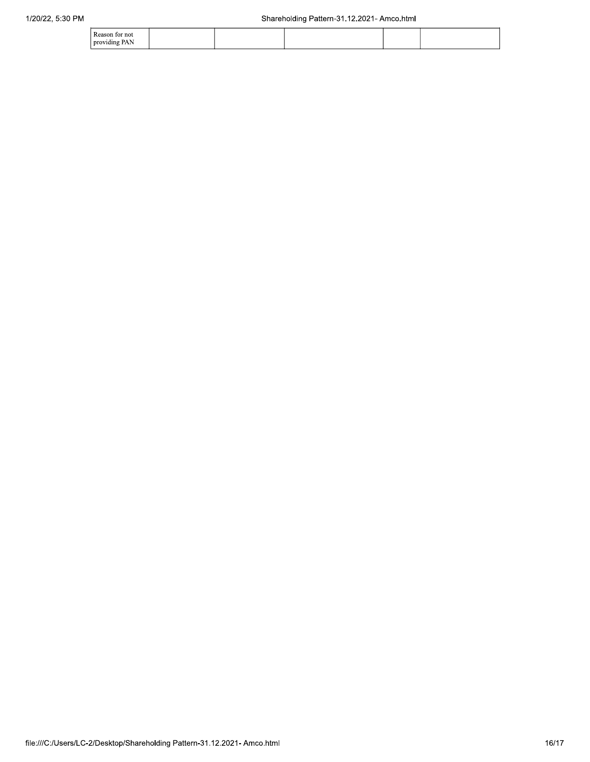| Reason for not       |  |  |  |
|----------------------|--|--|--|
| oroviding PAN<br>. . |  |  |  |